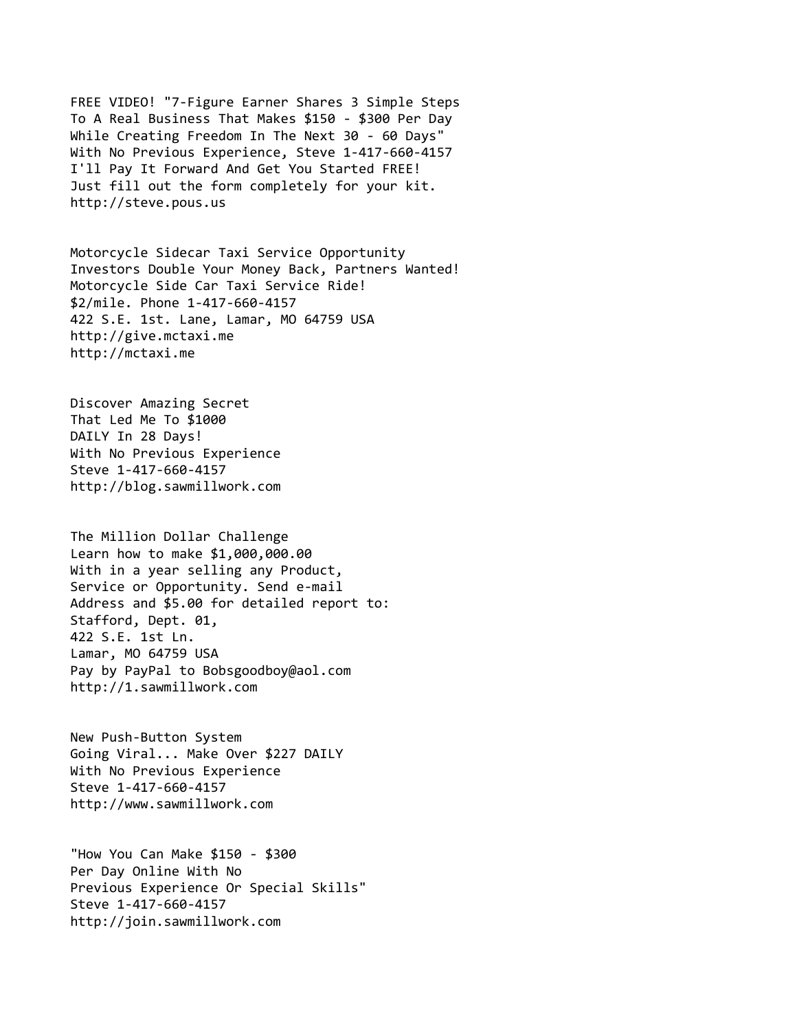FREE VIDEO! "7-Figure Earner Shares 3 Simple Steps To A Real Business That Makes \$150 - \$300 Per Day While Creating Freedom In The Next 30 - 60 Days" With No Previous Experience, Steve 1-417-660-4157 I'll Pay It Forward And Get You Started FREE! Just fill out the form completely for your kit. http://steve.pous.us

Motorcycle Sidecar Taxi Service Opportunity Investors Double Your Money Back, Partners Wanted! Motorcycle Side Car Taxi Service Ride! \$2/mile. Phone 1-417-660-4157 422 S.E. 1st. Lane, Lamar, MO 64759 USA http://give.mctaxi.me http://mctaxi.me

Discover Amazing Secret That Led Me To \$1000 DAILY In 28 Days! With No Previous Experience Steve 1-417-660-4157 http://blog.sawmillwork.com

The Million Dollar Challenge Learn how to make \$1,000,000.00 With in a year selling any Product, Service or Opportunity. Send e-mail Address and \$5.00 for detailed report to: Stafford, Dept. 01, 422 S.E. 1st Ln. Lamar, MO 64759 USA Pay by PayPal to Bobsgoodboy@aol.com http://1.sawmillwork.com

New Push-Button System Going Viral... Make Over \$227 DAILY With No Previous Experience Steve 1-417-660-4157 http://www.sawmillwork.com

"How You Can Make \$150 - \$300 Per Day Online With No Previous Experience Or Special Skills" Steve 1-417-660-4157 http://join.sawmillwork.com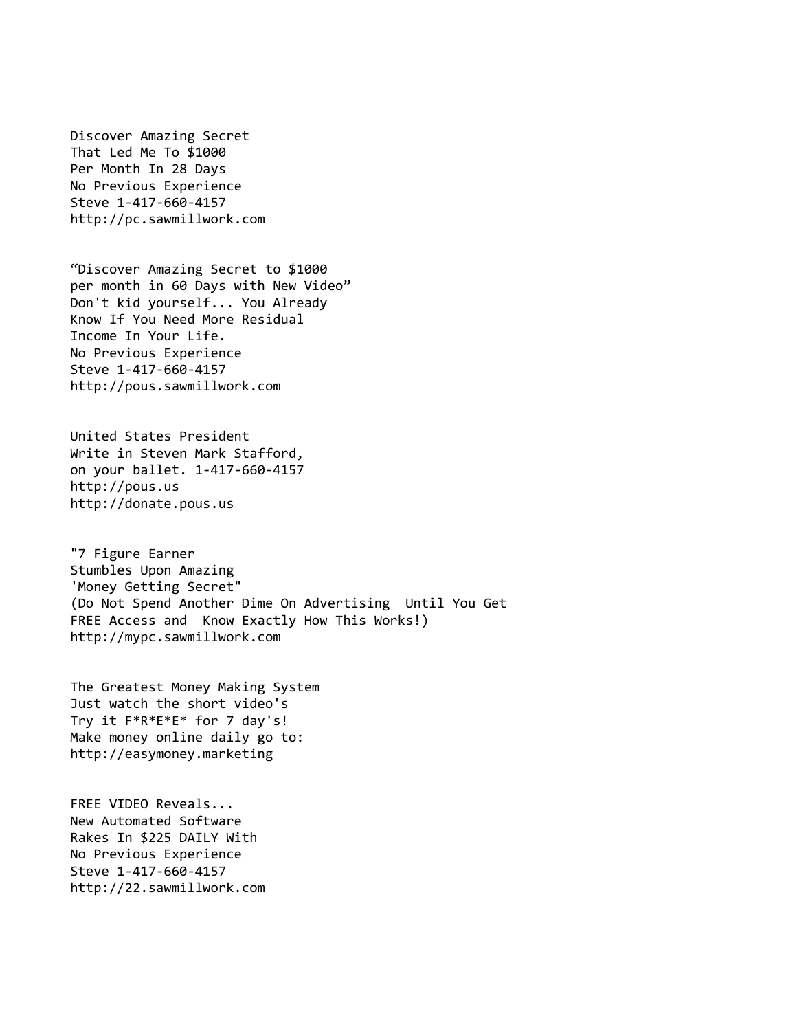Discover Amazing Secret That Led Me To \$1000 Per Month In 28 Days No Previous Experience Steve 1-417-660-4157 http://pc.sawmillwork.com

"Discover Amazing Secret to \$1000 per month in 60 Days with New Video" Don't kid yourself... You Already Know If You Need More Residual Income In Your Life. No Previous Experience Steve 1-417-660-4157 http://pous.sawmillwork.com

United States President Write in Steven Mark Stafford, on your ballet. 1-417-660-4157 http://pous.us http://donate.pous.us

"7 Figure Earner Stumbles Upon Amazing 'Money Getting Secret" (Do Not Spend Another Dime On Advertising Until You Get FREE Access and Know Exactly How This Works!) http://mypc.sawmillwork.com

The Greatest Money Making System Just watch the short video's Try it F\*R\*E\*E\* for 7 day's! Make money online daily go to: http://easymoney.marketing

FREE VIDEO Reveals... New Automated Software Rakes In \$225 DAILY With No Previous Experience Steve 1-417-660-4157 http://22.sawmillwork.com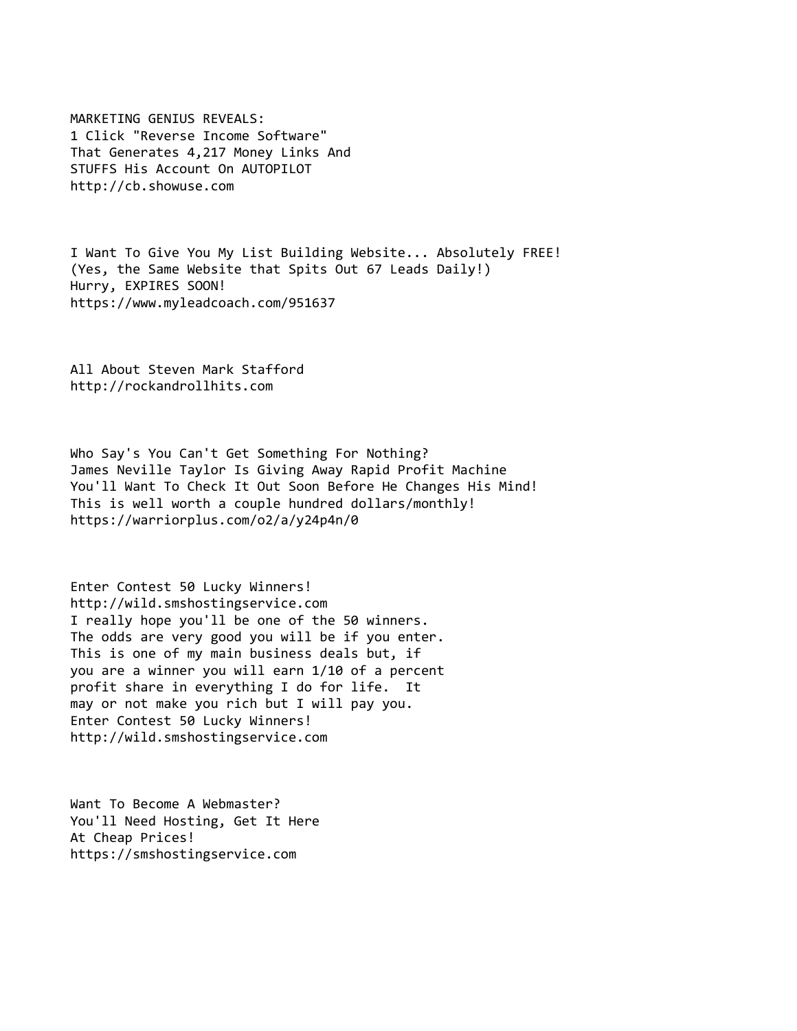MARKETING GENIUS REVEALS: 1 Click "Reverse Income Software" That Generates 4,217 Money Links And STUFFS His Account On AUTOPILOT http://cb.showuse.com

I Want To Give You My List Building Website... Absolutely FREE! (Yes, the Same Website that Spits Out 67 Leads Daily!) Hurry, EXPIRES SOON! https://www.myleadcoach.com/951637

All About Steven Mark Stafford http://rockandrollhits.com

Who Say's You Can't Get Something For Nothing? James Neville Taylor Is Giving Away Rapid Profit Machine You'll Want To Check It Out Soon Before He Changes His Mind! This is well worth a couple hundred dollars/monthly! https://warriorplus.com/o2/a/y24p4n/0

Enter Contest 50 Lucky Winners! http://wild.smshostingservice.com I really hope you'll be one of the 50 winners. The odds are very good you will be if you enter. This is one of my main business deals but, if you are a winner you will earn 1/10 of a percent profit share in everything I do for life. It may or not make you rich but I will pay you. Enter Contest 50 Lucky Winners! http://wild.smshostingservice.com

Want To Become A Webmaster? You'll Need Hosting, Get It Here At Cheap Prices! https://smshostingservice.com